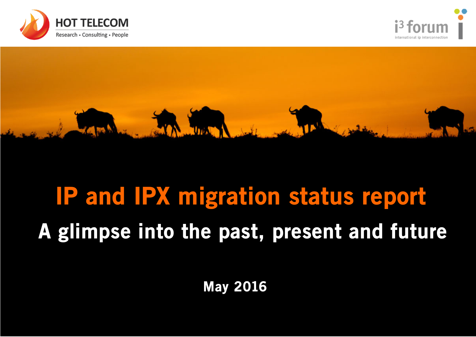





## IP and IPX migration status report A glimpse into the past, present and future

May 2016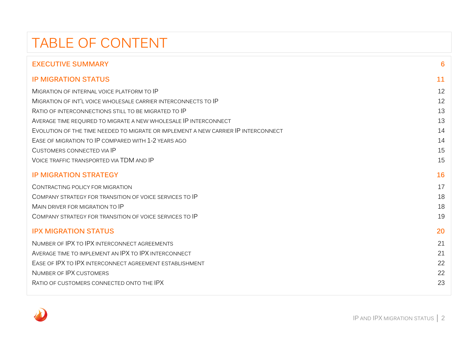## TABLE OF CONTENT

| <b>EXECUTIVE SUMMARY</b>                                                           | 6  |
|------------------------------------------------------------------------------------|----|
| <b>IP MIGRATION STATUS</b>                                                         | 11 |
| MIGRATION OF INTERNAL VOICE PLATFORM TO IP                                         | 12 |
| MIGRATION OF INT'L VOICE WHOLESALE CARRIER INTERCONNECTS TO IP                     | 12 |
| RATIO OF INTERCONNECTIONS STILL TO BE MIGRATED TO IP                               | 13 |
| AVERAGE TIME REQUIRED TO MIGRATE A NEW WHOLESALE IP INTERCONNECT                   | 13 |
| EVOLUTION OF THE TIME NEEDED TO MIGRATE OR IMPLEMENT A NEW CARRIER IP INTERCONNECT | 14 |
| EASE OF MIGRATION TO IP COMPARED WITH 1-2 YEARS AGO                                | 14 |
| <b>CUSTOMERS CONNECTED VIA IP</b>                                                  | 15 |
| <b>VOICE TRAFFIC TRANSPORTED VIA TDM AND IP</b>                                    | 15 |
| <b>IP MIGRATION STRATEGY</b>                                                       | 16 |
| CONTRACTING POLICY FOR MIGRATION                                                   | 17 |
| COMPANY STRATEGY FOR TRANSITION OF VOICE SERVICES TO IP                            | 18 |
| MAIN DRIVER FOR MIGRATION TO IP                                                    | 18 |
| COMPANY STRATEGY FOR TRANSITION OF VOICE SERVICES TO IP                            | 19 |
| <b>IPX MIGRATION STATUS</b>                                                        | 20 |
| NUMBER OF IPX TO IPX INTERCONNECT AGREEMENTS                                       | 21 |
| AVERAGE TIME TO IMPLEMENT AN IPX TO IPX INTERCONNECT                               | 21 |
| EASE OF IPX TO IPX INTERCONNECT AGREEMENT ESTABLISHMENT                            | 22 |
| NUMBER OF IPX CUSTOMERS                                                            | 22 |
| RATIO OF CUSTOMERS CONNECTED ONTO THE IPX                                          | 23 |

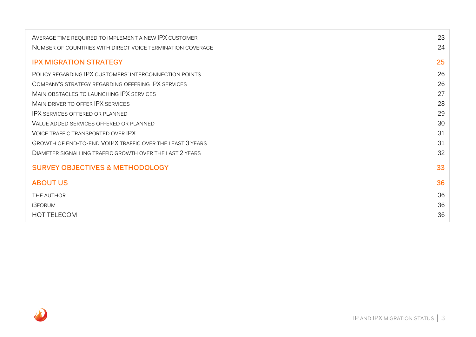| AVERAGE TIME REQUIRED TO IMPLEMENT A NEW IPX CUSTOMER      | 23 |
|------------------------------------------------------------|----|
| NUMBER OF COUNTRIES WITH DIRECT VOICE TERMINATION COVERAGE | 24 |
| <b>IPX MIGRATION STRATEGY</b>                              | 25 |
| POLICY REGARDING IPX CUSTOMERS' INTERCONNECTION POINTS     | 26 |
| COMPANY'S STRATEGY REGARDING OFFERING IPX SERVICES         | 26 |
| MAIN OBSTACLES TO LAUNCHING IPX SERVICES                   | 27 |
| MAIN DRIVER TO OFFER IPX SERVICES                          | 28 |
| <b>IPX SERVICES OFFERED OR PLANNED</b>                     | 29 |
| VALUE ADDED SERVICES OFFERED OR PLANNED                    | 30 |
| VOICE TRAFFIC TRANSPORTED OVER IPX                         | 31 |
| GROWTH OF END-TO-END VOIPX TRAFFIC OVER THE LEAST 3 YEARS  | 31 |
| DIAMETER SIGNALLING TRAFFIC GROWTH OVER THE LAST 2 YEARS   | 32 |
| <b>SURVEY OBJECTIVES &amp; METHODOLOGY</b>                 | 33 |
| <b>ABOUT US</b>                                            | 36 |
| THE AUTHOR                                                 | 36 |
| <b>I3FORUM</b>                                             | 36 |
| <b>HOT TELECOM</b>                                         | 36 |

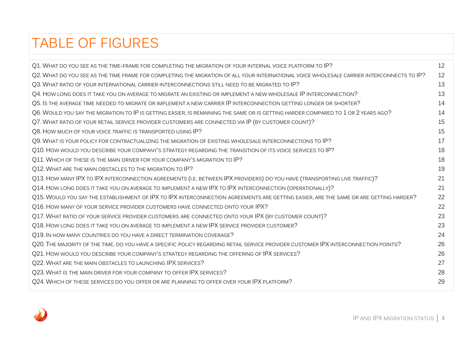## TABLE OF FIGURES

| Q1. WHAT DO YOU SEE AS THE TIME-FRAME FOR COMPLETING THE MIGRATION OF YOUR INTERNAL VOICE PLATFORM TO IP?                                 | 12 |
|-------------------------------------------------------------------------------------------------------------------------------------------|----|
| Q2. WHAT DO YOU SEE AS THE TIME FRAME FOR COMPLETING THE MIGRATION OF ALL YOUR INTERNATIONAL VOICE WHOLESALE CARRIER INTERCONNECTS TO IP? | 12 |
| Q3. WHAT RATIO OF YOUR INTERNATIONAL CARRIER INTERCONNECTIONS STILL NEED TO BE MIGRATED TO IP?                                            | 13 |
| Q4. HOW LONG DOES IT TAKE YOU ON AVERAGE TO MIGRATE AN EXISTING OR IMPLEMENT A NEW WHOLESALE IP INTERCONNECTION?                          | 13 |
| Q5. IS THE AVERAGE TIME NEEDED TO MIGRATE OR IMPLEMENT A NEW CARRIER IP INTERCONNECTION GETTING LONGER OR SHORTER?                        | 14 |
| Q6. WOULD YOU SAY THE MIGRATION TO IP IS GETTING EASIER, IS REMAINING THE SAME OR IS GETTING HARDER COMPARED TO 1 OR 2 YEARS AGO?         | 14 |
| Q7. WHAT RATIO OF YOUR RETAIL SERVICE PROVIDER CUSTOMERS ARE CONNECTED VIA IP (BY CUSTOMER COUNT)?                                        | 15 |
| Q8. HOW MUCH OF YOUR VOICE TRAFFIC IS TRANSPORTED USING IP?                                                                               | 15 |
| Q9. WHAT IS YOUR POLICY FOR CONTRACTUALIZING THE MIGRATION OF EXISTING WHOLESALE INTERCONNECTIONS TO IP?                                  | 17 |
| Q10. HOW WOULD YOU DESCRIBE YOUR COMPANY'S STRATEGY REGARDING THE TRANSITION OF ITS VOICE SERVICES TO IP?                                 | 18 |
| Q11. WHICH OF THESE IS THE MAIN DRIVER FOR YOUR COMPANY'S MIGRATION TO IP?                                                                | 18 |
| Q12. WHAT ARE THE MAIN OBSTACLES TO THE MIGRATION TO IP?                                                                                  | 19 |
| Q13. HOW MANY IPX TO IPX INTERCONNECTION AGREEMENTS (I.E. BETWEEN IPX PROVIDERS) DO YOU HAVE (TRANSPORTING LIVE TRAFFIC)?                 | 21 |
| Q14. HOW LONG DOES IT TAKE YOU ON AVERAGE TO IMPLEMENT A NEW IPX TO IPX INTERCONNECTION (OPERATIONALLY)?                                  | 21 |
| Q15. WOULD YOU SAY THE ESTABLISHMENT OF IPX TO IPX INTERCONNECTION AGREEMENTS ARE GETTING EASIER, ARE THE SAME OR ARE GETTING HARDER?     | 22 |
| Q16. HOW MANY OF YOUR SERVICE PROVIDER CUSTOMERS HAVE CONNECTED ONTO YOUR IPX?                                                            | 22 |
| Q17. WHAT RATIO OF YOUR SERVICE PROVIDER CUSTOMERS ARE CONNECTED ONTO YOUR IPX (BY CUSTOMER COUNT)?                                       | 23 |
| Q18. HOW LONG DOES IT TAKE YOU ON AVERAGE TO IMPLEMENT A NEW IPX SERVICE PROVIDER CUSTOMER?                                               | 23 |
| Q19. IN HOW MANY COUNTRIES DO YOU HAVE A DIRECT TERMINATION COVERAGE?                                                                     | 24 |
| Q20. THE MAJORITY OF THE TIME, DO YOU HAVE A SPECIFIC POLICY REGARDING RETAIL SERVICE PROVIDER CUSTOMER IPX INTERCONNECTION POINTS?       | 26 |
| Q21. HOW WOULD YOU DESCRIBE YOUR COMPANY'S STRATEGY REGARDING THE OFFERING OF IPX SERVICES?                                               | 26 |
| Q22. WHAT ARE THE MAIN OBSTACLES TO LAUNCHING IPX SERVICES?                                                                               | 27 |
| Q23. WHAT IS THE MAIN DRIVER FOR YOUR COMPANY TO OFFER IPX SERVICES?                                                                      | 28 |
| Q24. WHICH OF THESE SERVICES DO YOU OFFER OR ARE PLANNING TO OFFER OVER YOUR IPX PLATFORM?                                                | 29 |
|                                                                                                                                           |    |

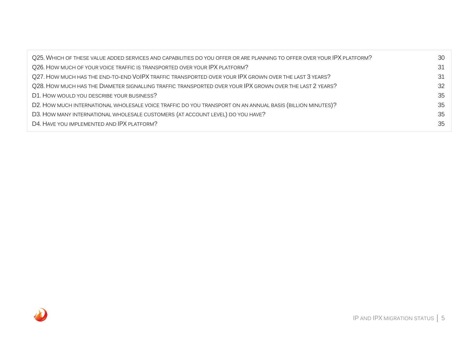| Q25. WHICH OF THESE VALUE ADDED SERVICES AND CAPABILITIES DO YOU OFFER OR ARE PLANNING TO OFFER OVER YOUR IPX PLATFORM? | 30 |
|-------------------------------------------------------------------------------------------------------------------------|----|
| Q26. HOW MUCH OF YOUR VOICE TRAFFIC IS TRANSPORTED OVER YOUR IPX PLATFORM?                                              | 31 |
| Q27. HOW MUCH HAS THE END-TO-END VOIPX TRAFFIC TRANSPORTED OVER YOUR IPX GROWN OVER THE LAST 3 YEARS?                   | 31 |
| Q28. HOW MUCH HAS THE DIAMETER SIGNALLING TRAFFIC TRANSPORTED OVER YOUR IPX GROWN OVER THE LAST 2 YEARS?                |    |
| D1. HOW WOULD YOU DESCRIBE YOUR BUSINESS?                                                                               | 35 |
| D2. HOW MUCH INTERNATIONAL WHOLESALE VOICE TRAFFIC DO YOU TRANSPORT ON AN ANNUAL BASIS (BILLION MINUTES)?               | 35 |
| D3. HOW MANY INTERNATIONAL WHOLESALE CUSTOMERS (AT ACCOUNT LEVEL) DO YOU HAVE?                                          | 35 |
| D4. HAVE YOU IMPLEMENTED AND IPX PLATFORM?                                                                              | 35 |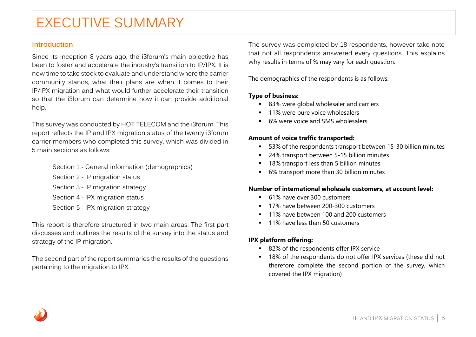## EXECUTIVE SUMMARY

## **Introduction**

Since its inception 8 years ago, the i3forum's main objective has been to foster and accelerate the industry's transition to IP/IPX. It is now time to take stock to evaluate and understand where the carrier community stands, what their plans are when it comes to their IP/IPX migration and what would further accelerate their transition so that the i3forum can determine how it can provide additional help.

This survey was conducted by HOT TELECOM and the i3forum. This report reflects the IP and IPX migration status of the twenty i3forum carrier members who completed this survey, which was divided in 5 main sections as follows:

> Section 1 - General information (demographics) Section 2 - IP migration status Section 3 - IP migration strategy Section 4 - IPX migration status Section 5 - IPX migration strategy

This report is therefore structured in two main areas. The first part discusses and outlines the results of the survey into the status and strategy of the IP migration.

The second part of the report summaries the results of the questions pertaining to the migration to IPX.

The survey was completed by 18 respondents, however take note that not all respondents answered every questions. This explains why results in terms of % may vary for each question.

The demographics of the respondents is as follows:

## **Type of business:**

- 83% were global wholesaler and carriers
- **11%** were pure voice wholesalers
- 6% were voice and SMS wholesalers

## **Amount of voice traffic transported:**

- 53% of the respondents transport between 15-30 billion minutes
- 24% transport between 5-15 billion minutes
- 18% transport less than 5 billion minutes
- 6% transport more than 30 billion minutes

## **Number of international wholesale customers, at account level:**

- 61% have over 300 customers
- <sup>17%</sup> have between 200-300 customers
- 11% have between 100 and 200 customers
- **11% have less than 50 customers**

## **IPX platform offering:**

- 82% of the respondents offer IPX service
- 18% of the respondents do not offer IPX services (these did not therefore complete the second portion of the survey, which covered the IPX migration)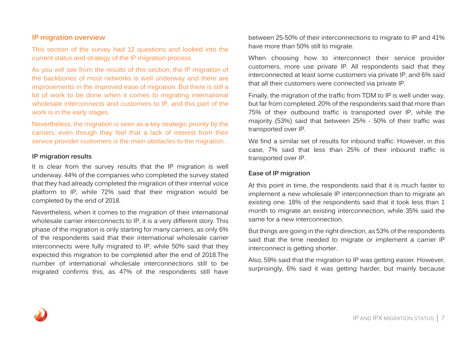## **IP migration overview**

This section of the survey had 12 questions and looked into the current status and strategy of the IP migration process.

As you will see from the results of this section, the IP migration of the backbones of most networks is well underway and there are improvements in the improved ease of migration. But there is still a lot of work to be done when it comes to migrating international wholesale interconnects and customers to IP, and this part of the work is in the early stages.

Nevertheless, the migration is seen as a key strategic priority by the carriers, even though they feel that a lack of interest from their service provider customers is the main obstacles to the migration.

## **IP migration results**

It is clear from the survey results that the IP migration is well underway. 44% of the companies who completed the survey stated that they had already completed the migration of their internal voice platform to IP, while 72% said that their migration would be completed by the end of 2018.

Nevertheless, when it comes to the migration of their international wholesale carrier interconnects to IP, it is a very different story. This phase of the migration is only starting for many carriers, as only 6% of the respondents said that their international wholesale carrier interconnects were fully migrated to IP, while 50% said that they expected this migration to be completed after the end of 2018.The number of international wholesale interconnections still to be migrated confirms this, as 47% of the respondents still have

between 25-50% of their interconnections to migrate to IP and 41% have more than 50% still to migrate.

When choosing how to interconnect their service provider customers, more use private IP. All respondents said that they interconnected at least some customers via private IP, and 6% said that all their customers were connected via private IP.

Finally, the migration of the traffic from TDM to IP is well under way, but far from completed. 20% of the respondents said that more than 75% of their outbound traffic is transported over IP, while the majority (53%) said that between 25% - 50% of their traffic was transported over IP.

We find a similar set of results for inbound traffic. However, in this case, 7% said that less than 25% of their inbound traffic is transported over IP.

## **Ease of IP migration**

At this point in time, the respondents said that it is much faster to implement a new wholesale IP interconnection than to migrate an existing one. 18% of the respondents said that it took less than 1 month to migrate an existing interconnection, while 35% said the same for a new interconnection.

But things are going in the right direction, as 53% of the respondents said that the time needed to migrate or implement a carrier IP interconnect is getting shorter.

Also, 59% said that the migration to IP was getting easier. However, surprisingly, 6% said it was getting harder, but mainly because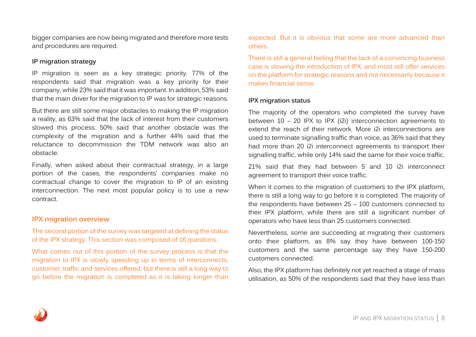bigger companies are now being migrated and therefore more tests and procedures are required.

## **IP migration strategy**

IP migration is seen as a key strategic priority. 77% of the respondents said that migration was a key priority for their company, while 23% said that it was important. In addition, 53% said that the main driver for the migration to IP was for strategic reasons.

But there are still some major obstacles to making the IP migration a reality, as 63% said that the lack of interest from their customers slowed this process. 50% said that another obstacle was the complexity of the migration and a further 44% said that the reluctance to decommission the TDM network was also an obstacle.

Finally, when asked about their contractual strategy, in a large portion of the cases, the respondents' companies make no contractual change to cover the migration to IP of an existing interconnection. The next most popular policy is to use a new contract.

## **IPX migration overview**

The second portion of the survey was targeted at defining the status of the IPX strategy. This section was composed of 16 questions.

What comes out of this portion of the survey process is that the migration to IPX is slowly speeding up in terms of interconnects, customer, traffic and services offered, but there is still a long way to go before the migration is completed as it is taking longer than

expected. But it is obvious that some are more advanced than others.

There is still a general feeling that the lack of a convincing business case is slowing the introduction of IPX, and most still offer services on the platform for strategic reasons and not necessarily because it makes financial sense.

## **IPX migration status**

The majority of the operators who completed the survey have between 10 – 20 IPX to IPX (i2i) interconnection agreements to extend the reach of their network. More i2i interconnections are used to terminate signalling traffic than voice, as 36% said that they had more than 20 i2i interconnect agreements to transport their signalling traffic, while only 14% said the same for their voice traffic.

21% said that they had between 5 and 10 i2i interconnect agreement to transport their voice traffic.

When it comes to the migration of customers to the IPX platform, there is still a long way to go before it is completed. The majority of the respondents have between 25 – 100 customers connected to their IPX platform, while there are still a significant number of operators who have less than 25 customers connected.

Nevertheless, some are succeeding at migrating their customers onto their platform, as 8% say they have between 100-150 customers and the same percentage say they have 150-200 customers connected.

Also, the IPX platform has definitely not yet reached a stage of mass utilisation, as 50% of the respondents said that they have less than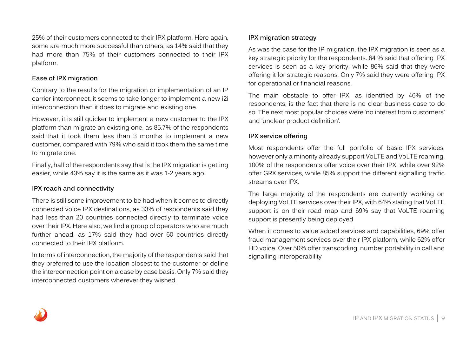25% of their customers connected to their IPX platform. Here again, some are much more successful than others, as 14% said that they had more than 75% of their customers connected to their IPX platform.

## **Ease of IPX migration**

Contrary to the results for the migration or implementation of an IP carrier interconnect, it seems to take longer to implement a new i2i interconnection than it does to migrate and existing one.

However, it is still quicker to implement a new customer to the IPX platform than migrate an existing one, as 85.7% of the respondents said that it took them less than 3 months to implement a new customer, compared with 79% who said it took them the same time to migrate one.

Finally, half of the respondents say that is the IPX migration is getting easier, while 43% say it is the same as it was 1-2 years ago.

## **IPX reach and connectivity**

There is still some improvement to be had when it comes to directly connected voice IPX destinations, as 33% of respondents said they had less than 20 countries connected directly to terminate voice over their IPX. Here also, we find a group of operators who are much further ahead, as 17% said they had over 60 countries directly connected to their IPX platform.

In terms of interconnection, the majority of the respondents said that they preferred to use the location closest to the customer or define the interconnection point on a case by case basis. Only 7% said they interconnected customers wherever they wished.

## **IPX migration strategy**

As was the case for the IP migration, the IPX migration is seen as a key strategic priority for the respondents. 64 % said that offering IPX services is seen as a key priority, while 86% said that they were offering it for strategic reasons. Only 7% said they were offering IPX for operational or financial reasons.

The main obstacle to offer IPX, as identified by 46% of the respondents, is the fact that there is no clear business case to do so. The next most popular choices were 'no interest from customers' and 'unclear product definition'.

## **IPX service offering**

Most respondents offer the full portfolio of basic IPX services, however only a minority already support VoLTE and VoLTE roaming. 100% of the respondents offer voice over their IPX, while over 92% offer GRX services, while 85% support the different signalling traffic streams over IPX.

The large majority of the respondents are currently working on deploying VoLTE services over their IPX, with 64% stating that VoLTE support is on their road map and 69% say that VoLTE roaming support is presently being deployed

When it comes to value added services and capabilities, 69% offer fraud management services over their IPX platform, while 62% offer HD voice. Over 50% offer transcoding, number portability in call and signalling interoperability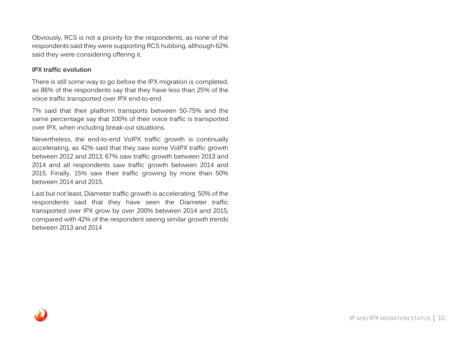Obviously, RCS is not a priority for the respondents, as none of the respondents said they were supporting RCS hubbing, although 62% said they were considering offering it.

## **IPX traffic evolution**

There is still some way to go before the IPX migration is completed, as 86% of the respondents say that they have less than 25% of the voice traffic transported over IPX end-to-end.

7% said that their platform transports between 50-75% and the same percentage say that 100% of their voice traffic is transported over IPX, when including break-out situations.

Nevertheless, the end-to-end VoIPX traffic growth is continually accelerating, as 42% said that they saw some VoIPX traffic growth between 2012 and 2013, 67% saw traffic growth between 2013 and 2014 and all respondents saw traffic growth between 2014 and 2015. Finally, 15% saw their traffic growing by more than 50% between 2014 and 2015.

Last but not least, Diameter traffic growth is accelerating. 50% of the respondents said that they have seen the Diameter traffic transported over IPX grow by over 200% between 2014 and 2015, compared with 42% of the respondent seeing similar growth trends between 2013 and 2014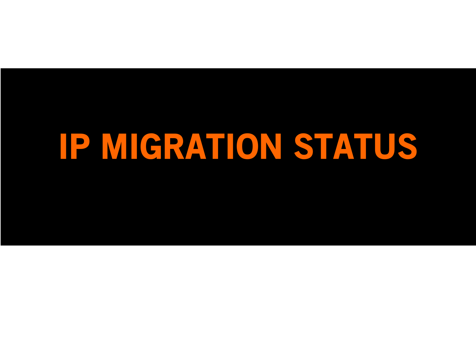# IP MIGRATION STATUS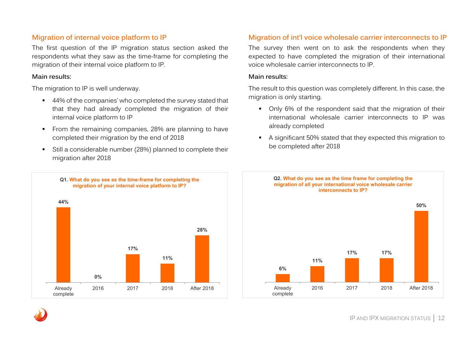## **Migration of internal voice platform to IP**

The first question of the IP migration status section asked the respondents what they saw as the time-frame for completing the migration of their internal voice platform to IP.

## **Main results:**

The migration to IP is well underway.

- 44% of the companies' who completed the survey stated that that they had already completed the migration of their internal voice platform to IP
- From the remaining companies, 28% are planning to have completed their migration by the end of 2018
- Still a considerable number (28%) planned to complete their migration after 2018

## **Migration of int'l voice wholesale carrier interconnects to IP**

The survey then went on to ask the respondents when they expected to have completed the migration of their international voice wholesale carrier interconnects to IP.

### **Main results:**

The result to this question was completely different. In this case, the migration is only starting.

- Only 6% of the respondent said that the migration of their international wholesale carrier interconnects to IP was already completed
- A significant 50% stated that they expected this migration to be completed after 2018



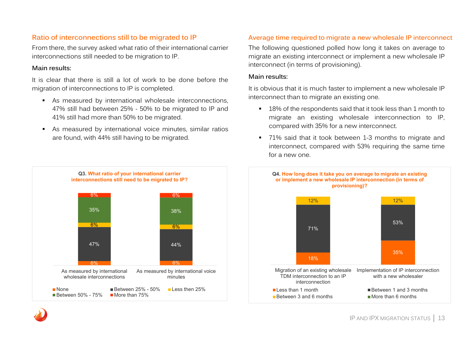## **Ratio of interconnections still to be migrated to IP**

From there, the survey asked what ratio of their international carrier interconnections still needed to be migration to IP.

## **Main results:**

It is clear that there is still a lot of work to be done before the migration of interconnections to IP is completed.

- As measured by international wholesale interconnections, 47% still had between 25% - 50% to be migrated to IP and 41% still had more than 50% to be migrated.
- As measured by international voice minutes, similar ratios are found, with 44% still having to be migrated.



## **Average time required to migrate a new wholesale IP interconnect**

The following questioned polled how long it takes on average to migrate an existing interconnect or implement a new wholesale IP interconnect (in terms of provisioning).

### **Main results:**

It is obvious that it is much faster to implement a new wholesale IP interconnect than to migrate an existing one.

- 18% of the respondents said that it took less than 1 month to migrate an existing wholesale interconnection to IP, compared with 35% for a new interconnect.
- 71% said that it took between 1-3 months to migrate and interconnect, compared with 53% requiring the same time for a new one.

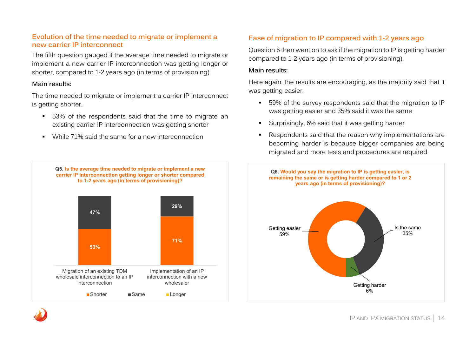## **Evolution of the time needed to migrate or implement a new carrier IP interconnect**

The fifth question gauged if the average time needed to migrate or implement a new carrier IP interconnection was getting longer or shorter, compared to 1-2 years ago (in terms of provisioning).

## **Main results:**

The time needed to migrate or implement a carrier IP interconnect is getting shorter.

- 53% of the respondents said that the time to migrate an existing carrier IP interconnection was getting shorter
- While 71% said the same for a new interconnection





## **Ease of migration to IP compared with 1-2 years ago**

Question 6 then went on to ask if the migration to IP is getting harder compared to 1-2 years ago (in terms of provisioning).

## **Main results:**

Here again, the results are encouraging, as the majority said that it was getting easier.

- 59% of the survey respondents said that the migration to IP was getting easier and 35% said it was the same
- Surprisingly, 6% said that it was getting harder
- Respondents said that the reason why implementations are becoming harder is because bigger companies are being migrated and more tests and procedures are required

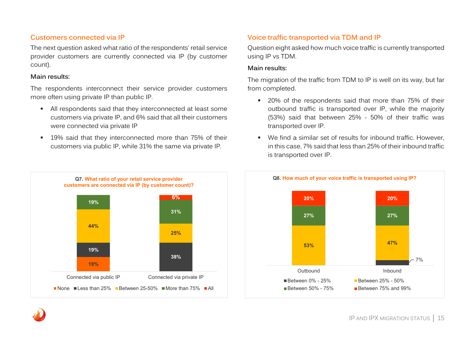## **Customers connected via IP**

The next question asked what ratio of the respondents' retail service provider customers are currently connected via IP (by customer count).

### **Main results:**

The respondents interconnect their service provider customers more often using private IP than public IP.

- All respondents said that they interconnected at least some customers via private IP, and 6% said that all their customers were connected via private IP
- **19%** said that they interconnected more than 75% of their customers via public IP, while 31% the same via private IP.



## **Voice traffic transported via TDM and IP**

Question eight asked how much voice traffic is currently transported using IP vs TDM.

### **Main results:**

The migration of the traffic from TDM to IP is well on its way, but far from completed.

- **20%** of the respondents said that more than 75% of their outbound traffic is transported over IP, while the majority (53%) said that between 25% - 50% of their traffic was transported over IP.
- We find a similar set of results for inbound traffic. However, in this case, 7% said that less than 25% of their inbound traffic is transported over IP.

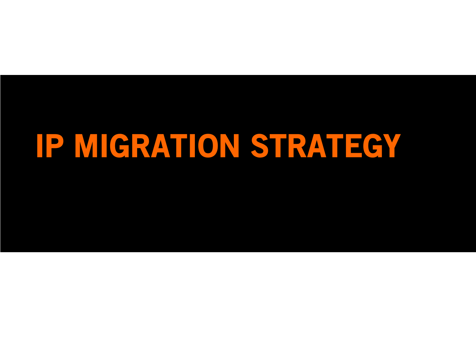# IP MIGRATION STRATEGY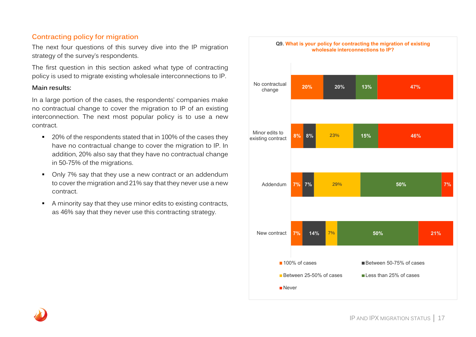## **Contracting policy for migration**

The next four questions of this survey dive into the IP migration strategy of the survey's respondents.

The first question in this section asked what type of contracting policy is used to migrate existing wholesale interconnections to IP.

## **Main results:**

In a large portion of the cases, the respondents' companies make no contractual change to cover the migration to IP of an existing interconnection. The next most popular policy is to use a new contract.

- <sup>20%</sup> of the respondents stated that in 100% of the cases they have no contractual change to cover the migration to IP. In addition, 20% also say that they have no contractual change in 50-75% of the migrations.
- Only 7% say that they use a new contract or an addendum to cover the migration and 21% say that they never use a new contract.
- A minority say that they use minor edits to existing contracts, as 46% say that they never use this contracting strategy.

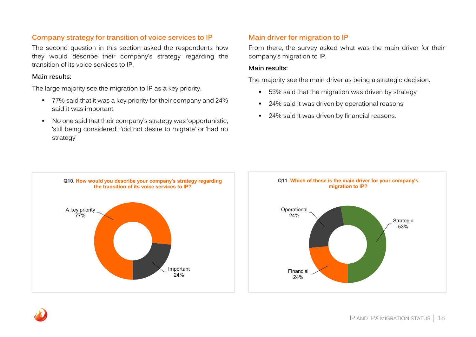## **Company strategy for transition of voice services to IP**

The second question in this section asked the respondents how they would describe their company's strategy regarding the transition of its voice services to IP.

## **Main results:**

The large majority see the migration to IP as a key priority.

- 77% said that it was a key priority for their company and 24% said it was important.
- No one said that their company's strategy was 'opportunistic, 'still being considered', 'did not desire to migrate' or 'had no strategy'

## **Main driver for migration to IP**

From there, the survey asked what was the main driver for their company's migration to IP.

## **Main results:**

The majority see the main driver as being a strategic decision.

- **53%** said that the migration was driven by strategy
- 24% said it was driven by operational reasons
- 24% said it was driven by financial reasons.



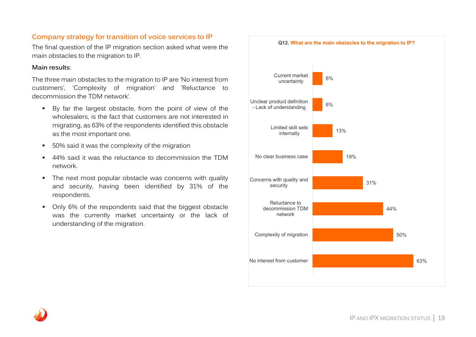## **Company strategy for transition of voice services to IP**

The final question of the IP migration section asked what were the main obstacles to the migration to IP.

## **Main results**:

The three main obstacles to the migration to IP are 'No interest from customers', 'Complexity of migration' and 'Reluctance to decommission the TDM network'.

- By far the largest obstacle, from the point of view of the wholesalers, is the fact that customers are not interested in migrating, as 63% of the respondents identified this obstacle as the most important one.
- 50% said it was the complexity of the migration
- 44% said it was the reluctance to decommission the TDM network.
- The next most popular obstacle was concerns with quality and security, having been identified by 31% of the respondents.
- Only 6% of the respondents said that the biggest obstacle was the currently market uncertainty or the lack of understanding of the migration.

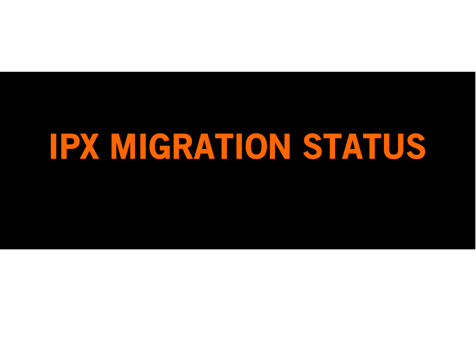# IPX MIGRATION STATUS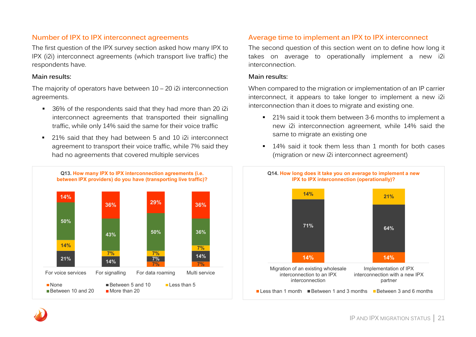## **Number of IPX to IPX interconnect agreements**

The first question of the IPX survey section asked how many IPX to IPX (i2i) interconnect agreements (which transport live traffic) the respondents have.

## **Main results:**

The majority of operators have between 10 – 20 i2i interconnection agreements.

- 36% of the respondents said that they had more than 20 i2i interconnect agreements that transported their signalling traffic, while only 14% said the same for their voice traffic
- 21% said that they had between 5 and 10 i2i interconnect agreement to transport their voice traffic, while 7% said they had no agreements that covered multiple services



## **Average time to implement an IPX to IPX interconnect**

The second question of this section went on to define how long it takes on average to operationally implement a new i2i interconnection.

## **Main results:**

When compared to the migration or implementation of an IP carrier interconnect, it appears to take longer to implement a new i2i interconnection than it does to migrate and existing one.

- <sup>21%</sup> said it took them between 3-6 months to implement a new i2i interconnection agreement, while 14% said the same to migrate an existing one
- 14% said it took them less than 1 month for both cases (migration or new i2i interconnect agreement)

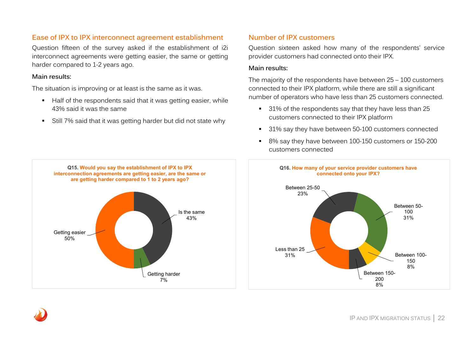## **Ease of IPX to IPX interconnect agreement establishment**

Question fifteen of the survey asked if the establishment of i2i interconnect agreements were getting easier, the same or getting harder compared to 1-2 years ago.

## **Main results:**

The situation is improving or at least is the same as it was.

- Half of the respondents said that it was getting easier, while 43% said it was the same
- Still 7% said that it was getting harder but did not state why

## **Number of IPX customers**

Question sixteen asked how many of the respondents' service provider customers had connected onto their IPX.

## **Main results:**

The majority of the respondents have between 25 – 100 customers connected to their IPX platform, while there are still a significant number of operators who have less than 25 customers connected.

- <sup>31%</sup> of the respondents say that they have less than 25 customers connected to their IPX platform
- 31% say they have between 50-100 customers connected
- 8% say they have between 100-150 customers or 150-200 customers connected



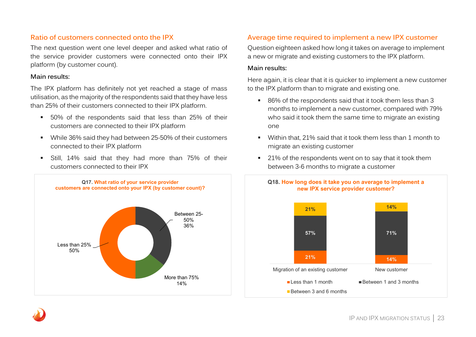## **Ratio of customers connected onto the IPX**

The next question went one level deeper and asked what ratio of the service provider customers were connected onto their IPX platform (by customer count).

### **Main results:**

The IPX platform has definitely not yet reached a stage of mass utilisation, as the majority of the respondents said that they have less than 25% of their customers connected to their IPX platform.

- 50% of the respondents said that less than 25% of their customers are connected to their IPX platform
- While 36% said they had between 25-50% of their customers connected to their IPX platform
- Still, 14% said that they had more than 75% of their customers connected to their IPX



## **Average time required to implement a new IPX customer**

Question eighteen asked how long it takes on average to implement a new or migrate and existing customers to the IPX platform.

### **Main results:**

Here again, it is clear that it is quicker to implement a new customer to the IPX platform than to migrate and existing one.

- 86% of the respondents said that it took them less than 3 months to implement a new customer, compared with 79% who said it took them the same time to migrate an existing one
- Within that, 21% said that it took them less than 1 month to migrate an existing customer
- <sup>21%</sup> of the respondents went on to say that it took them between 3-6 months to migrate a customer



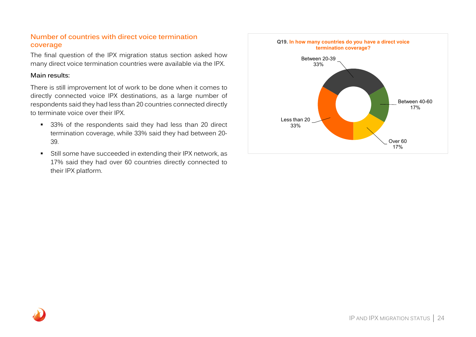## **Number of countries with direct voice termination coverage**

The final question of the IPX migration status section asked how many direct voice termination countries were available via the IPX.

## **Main results:**

There is still improvement lot of work to be done when it comes to directly connected voice IPX destinations, as a large number of respondents said they had less than 20 countries connected directly to terminate voice over their IPX.

- <sup>33%</sup> of the respondents said they had less than 20 direct termination coverage, while 33% said they had between 20- 39.
- Still some have succeeded in extending their IPX network, as 17% said they had over 60 countries directly connected to their IPX platform.

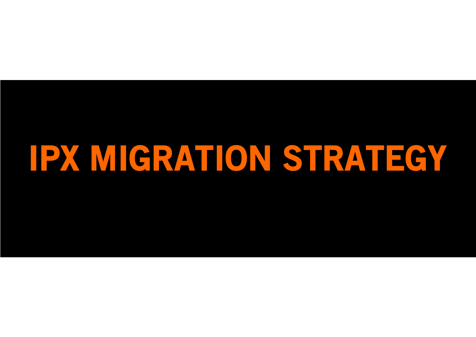# IPX MIGRATION STRATEGY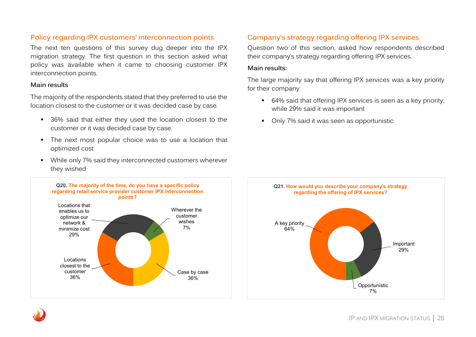## **Policy regarding IPX customers' interconnection points**

The next ten questions of this survey dug deeper into the IPX migration strategy. The first question in this section asked what policy was available when it came to choosing customer IPX interconnection points.

## **Main results**

The majority of the respondents stated that they preferred to use the location closest to the customer or it was decided case by case.

- 36% said that either they used the location closest to the customer or it was decided case by case.
- The next most popular choice was to use a location that optimized cost
- While only 7% said they interconnected customers wherever they wished



## **Company's strategy regarding offering IPX services**

Question two of this section, asked how respondents described their company's strategy regarding offering IPX services.

## **Main results:**

The large majority say that offering IPX services was a key priority for their company.

- 64% said that offering IPX services is seen as a key priority, while 29% said it was important
- Only 7% said it was seen as opportunistic

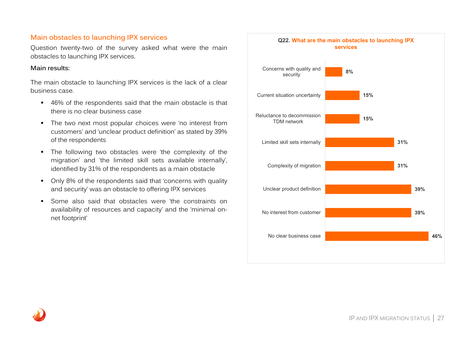## **Main obstacles to launching IPX services**

Question twenty-two of the survey asked what were the main obstacles to launching IPX services.

## **Main results:**

The main obstacle to launching IPX services is the lack of a clear business case.

- 46% of the respondents said that the main obstacle is that there is no clear business case
- The two next most popular choices were 'no interest from customers' and 'unclear product definition' as stated by 39% of the respondents
- The following two obstacles were 'the complexity of the migration' and 'the limited skill sets available internally', identified by 31% of the respondents as a main obstacle
- Only 8% of the respondents said that 'concerns with quality and security' was an obstacle to offering IPX services
- Some also said that obstacles were 'the constraints on availability of resources and capacity' and the 'minimal onnet footprint'

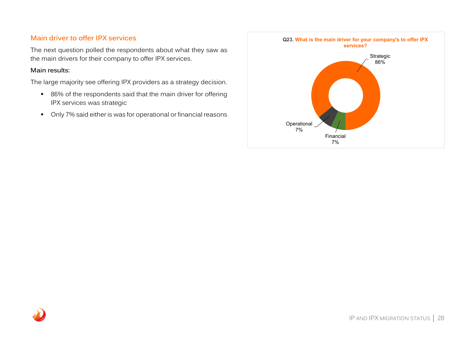## **Main driver to offer IPX services**

The next question polled the respondents about what they saw as the main drivers for their company to offer IPX services.

## **Main results:**

The large majority see offering IPX providers as a strategy decision.

- 86% of the respondents said that the main driver for offering IPX services was strategic
- Only 7% said either is was for operational or financial reasons

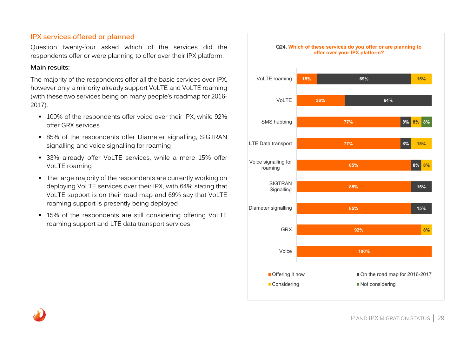## **IPX services offered or planned**

Question twenty-four asked which of the services did the respondents offer or were planning to offer over their IPX platform.

## **Main results:**

The majority of the respondents offer all the basic services over IPX, however only a minority already support VoLTE and VoLTE roaming (with these two services being on many people's roadmap for 2016- 2017).

- 100% of the respondents offer voice over their IPX, while 92% offer GRX services
- 85% of the respondents offer Diameter signalling, SIGTRAN signalling and voice signalling for roaming
- **33%** already offer VoLTE services, while a mere 15% offer VoLTE roaming
- The large majority of the respondents are currently working on deploying VoLTE services over their IPX, with 64% stating that VoLTE support is on their road map and 69% say that VoLTE roaming support is presently being deployed
- 15% of the respondents are still considering offering VoLTE roaming support and LTE data transport services

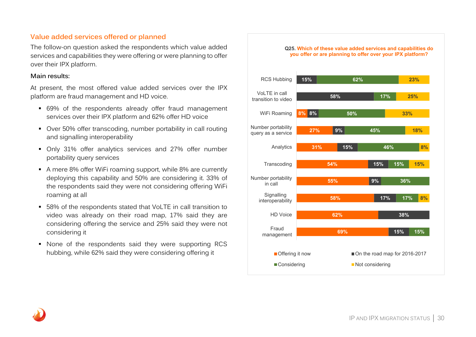## **Value added services offered or planned**

The follow-on question asked the respondents which value added services and capabilities they were offering or were planning to offer over their IPX platform.

## **Main results:**

At present, the most offered value added services over the IPX platform are fraud management and HD voice.

- 69% of the respondents already offer fraud management services over their IPX platform and 62% offer HD voice
- Over 50% offer transcoding, number portability in call routing and signalling interoperability
- Only 31% offer analytics services and 27% offer number portability query services
- A mere 8% offer WiFi roaming support, while 8% are currently deploying this capability and 50% are considering it. 33% of the respondents said they were not considering offering WiFi roaming at all
- 58% of the respondents stated that VoLTE in call transition to video was already on their road map, 17% said they are considering offering the service and 25% said they were not considering it
- None of the respondents said they were supporting RCS hubbing, while 62% said they were considering offering it

#### **Q25. Which of these value added services and capabilities do you offer or are planning to offer over your IPX platform?**

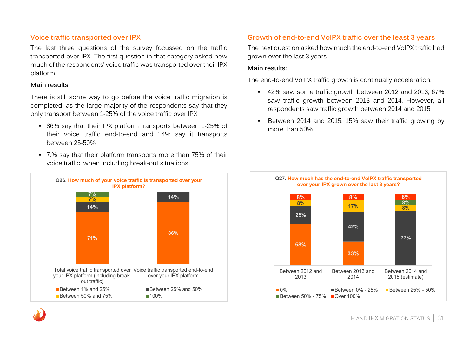## **Voice traffic transported over IPX**

The last three questions of the survey focussed on the traffic transported over IPX. The first question in that category asked how much of the respondents' voice traffic was transported over their IPX platform.

### **Main results:**

There is still some way to go before the voice traffic migration is completed, as the large majority of the respondents say that they only transport between 1-25% of the voice traffic over IPX

- 86% say that their IPX platform transports between 1-25% of their voice traffic end-to-end and 14% say it transports between 25-50%
- 7.% say that their platform transports more than 75% of their voice traffic, when including break-out situations



## **Growth of end-to-end VoIPX traffic over the least 3 years**

The next question asked how much the end-to-end VoIPX traffic had grown over the last 3 years.

### **Main results:**

The end-to-end VoIPX traffic growth is continually acceleration.

- 42% saw some traffic growth between 2012 and 2013, 67% saw traffic growth between 2013 and 2014. However, all respondents saw traffic growth between 2014 and 2015.
- Between 2014 and 2015, 15% saw their traffic growing by more than 50%



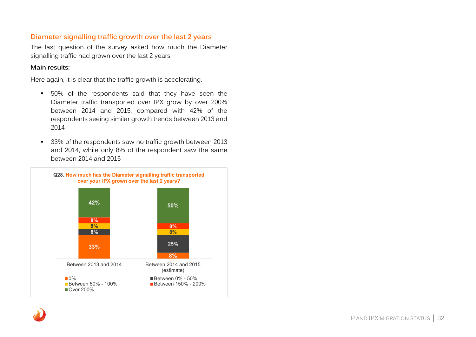## **Diameter signalling traffic growth over the last 2 years**

The last question of the survey asked how much the Diameter signalling traffic had grown over the last 2 years.

## **Main results:**

Here again, it is clear that the traffic growth is accelerating.

- 50% of the respondents said that they have seen the Diameter traffic transported over IPX grow by over 200% between 2014 and 2015, compared with 42% of the respondents seeing similar growth trends between 2013 and 2014
- <sup>3</sup> 33% of the respondents saw no traffic growth between 2013 and 2014, while only 8% of the respondent saw the same between 2014 and 2015

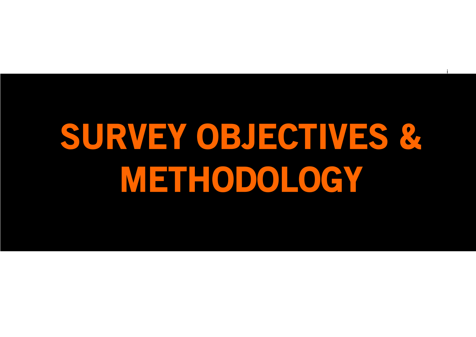# SURVEY OBJECTIVES & METHODOLOGY

i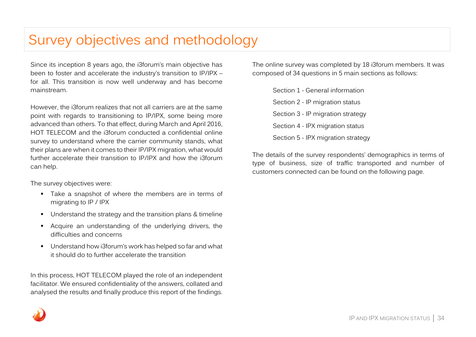## Survey objectives and methodology

Since its inception 8 years ago, the i3forum's main objective has been to foster and accelerate the industry's transition to IP/IPX – for all. This transition is now well underway and has become mainstream.

However, the i3forum realizes that not all carriers are at the same point with regards to transitioning to IP/IPX, some being more advanced than others. To that effect, during March and April 2016, HOT TELECOM and the i3forum conducted a confidential online survey to understand where the carrier community stands, what their plans are when it comes to their IP/IPX migration, what would further accelerate their transition to IP/IPX and how the i3forum can help.

The survey objectives were:

- Take a snapshot of where the members are in terms of migrating to IP / IPX
- Understand the strategy and the transition plans & timeline
- Acquire an understanding of the underlying drivers, the difficulties and concerns
- Understand how i3forum's work has helped so far and what it should do to further accelerate the transition

In this process, HOT TELECOM played the role of an independent facilitator. We ensured confidentiality of the answers, collated and analysed the results and finally produce this report of the findings.

The online survey was completed by 18 i3forum members. It was composed of 34 questions in 5 main sections as follows:

> Section 1 - General information Section 2 - IP migration status Section 3 - IP migration strategy Section 4 - IPX migration status Section 5 - IPX migration strategy

The details of the survey respondents' demographics in terms of type of business, size of traffic transported and number of customers connected can be found on the following page.

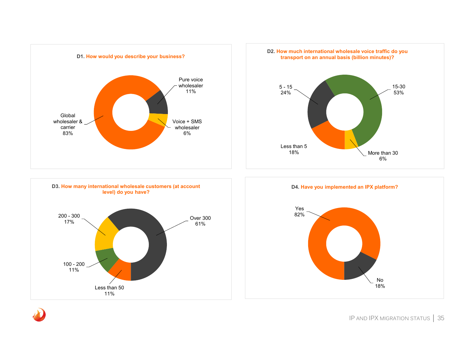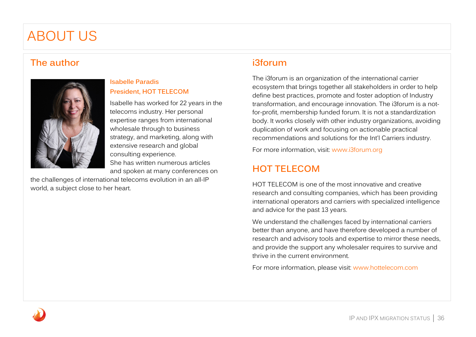## ABOUT US

## **The author**



## **Isabelle Paradis President, HOT TELECOM**

Isabelle has worked for 22 years in the telecoms industry. Her personal expertise ranges from international wholesale through to business strategy, and marketing, along with extensive research and global consulting experience. She has written numerous articles and spoken at many conferences on

the challenges of international telecoms evolution in an all-IP world, a subject close to her heart.

## **i3forum**

The i3forum is an organization of the international carrier ecosystem that brings together all stakeholders in order to help define best practices, promote and foster adoption of Industry transformation, and encourage innovation. The i3forum is a notfor-profit, membership funded forum. It is not a standardization body. It works closely with other industry organizations, avoiding duplication of work and focusing on actionable practical recommendations and solutions for the Int'l Carriers industry.

For more information, visit: [www.i3forum.org](http://www.i3forum.org/)

## **HOT TELECOM**

HOT TELECOM is one of the most innovative and creative research and consulting companies, which has been providing international operators and carriers with specialized intelligence and advice for the past 13 years.

We understand the challenges faced by international carriers better than anyone, and have therefore developed a number of research and advisory tools and expertise to mirror these needs, and provide the support any wholesaler requires to survive and thrive in the current environment.

For more information, please visit: [www.hottelecom.com](http://www.hottelecom.com/)